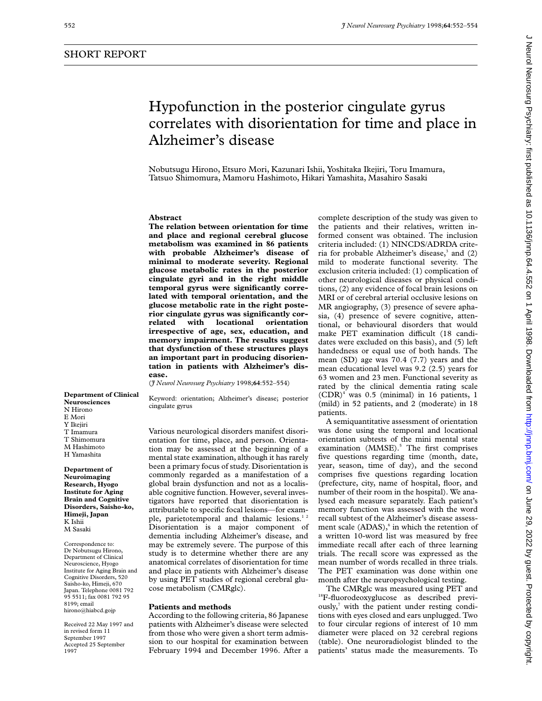# Hypofunction in the posterior cingulate gyrus correlates with disorientation for time and place in Nobutsugu Hirono, Etsuro Mori, Kazunari Ishii, Yoshitaka Ikejiri, Toru Imamura,

Tatsuo Shimomura, Mamoru Hashimoto, Hikari Yamashita, Masahiro Sasaki

# **Abstract**

**The relation between orientation for time and place and regional cerebral glucose metabolism was examined in 86 patients with probable Alzheimer's disease of minimal to moderate severity. Regional glucose metabolic rates in the posterior cingulate gyri and in the right middle temporal gyrus were significantly correlated with temporal orientation, and the glucose metabolic rate in the right posterior cingulate gyrus was significantly correlated with locational orientation irrespective of age, sex, education, and memory impairment. The results suggest that dysfunction of these structures plays an important part in producing disorientation in patients with Alzheimer's disease.**

Alzheimer's disease

(*J Neurol Neurosurg Psychiatry* 1998;**64**:552–554)

Keyword: orientation; Alzheimer's disease; posterior cingulate gyrus

Various neurological disorders manifest disorientation for time, place, and person. Orientation may be assessed at the beginning of a mental state examination, although it has rarely been a primary focus of study. Disorientation is commonly regarded as a manifestation of a global brain dysfunction and not as a localisable cognitive function. However, several investigators have reported that disorientation is attributable to specific focal lesions—for example, parietotemporal and thalamic lesions.<sup>12</sup> Disorientation is a major component of dementia including Alzheimer's disease, and may be extremely severe. The purpose of this study is to determine whether there are any anatomical correlates of disorientation for time and place in patients with Alzheimer's disease by using PET studies of regional cerebral glucose metabolism (CMRglc).

### **Patients and methods**

According to the following criteria, 86 Japanese patients with Alzheimer's disease were selected from those who were given a short term admission to our hospital for examination between February 1994 and December 1996. After a

complete description of the study was given to the patients and their relatives, written informed consent was obtained. The inclusion criteria included: (1) NINCDS/ADRDA criteria for probable Alzheimer's disease, $3$  and (2) mild to moderate functional severity. The exclusion criteria included: (1) complication of other neurological diseases or physical conditions, (2) any evidence of focal brain lesions on MRI or of cerebral arterial occlusive lesions on MR angiography, (3) presence of severe aphasia, (4) presence of severe cognitive, attentional, or behavioural disorders that would make PET examination difficult (18 candidates were excluded on this basis), and (5) left handedness or equal use of both hands. The mean (SD) age was 70.4 (7.7) years and the mean educational level was 9.2 (2.5) years for 63 women and 23 men. Functional severity as rated by the clinical dementia rating scale  $(CDR)^4$  was 0.5 (minimal) in 16 patients, 1 (mild) in 52 patients, and 2 (moderate) in 18 patients.

A semiquantitative assessment of orientation was done using the temporal and locational orientation subtests of the mini mental state examination (MMSE).<sup>5</sup> The first comprises five questions regarding time (month, date, year, season, time of day), and the second comprises five questions regarding location (prefecture, city, name of hospital, floor, and number of their room in the hospital). We analysed each measure separately. Each patient's memory function was assessed with the word recall subtest of the Alzheimer's disease assessment scale  $(ADAS)$ , in which the retention of a written 10-word list was measured by free immediate recall after each of three learning trials. The recall score was expressed as the mean number of words recalled in three trials. The PET examination was done within one month after the neuropsychological testing.

The CMRglc was measured using PET and <sup>18</sup>F-fluorodeoxyglucose as described previ- $\text{ously,}^7$  with the patient under resting conditions with eyes closed and ears unplugged. Two to four circular regions of interest of 10 mm diameter were placed on 32 cerebral regions (table). One neuroradiologist blinded to the patients' status made the measurements. To

**Department of Clinical Neurosciences** N Hirono E Mori Y Ikejiri T Imamura T Shimomura M Hashimoto H Yamashita

**Department of Neuroimaging Research, Hyogo Institute for Aging Brain and Cognitive Disorders, Saisho-ko, Himeji, Japan** K Ishii M Sasaki

Correspondence to: Dr Nobutsugu Hirono, Department of Clinical Neuroscience, Hyogo Institute for Aging Brain and Cognitive Disorders, 520 Saisho-ko, Himeji, 670 Japan. Telephone 0081 792 95 5511; fax 0081 792 95 8199; email hirono@hiabcd.gojp

Received 22 May 1997 and in revised form 11 September 1997 Accepted 25 September 1007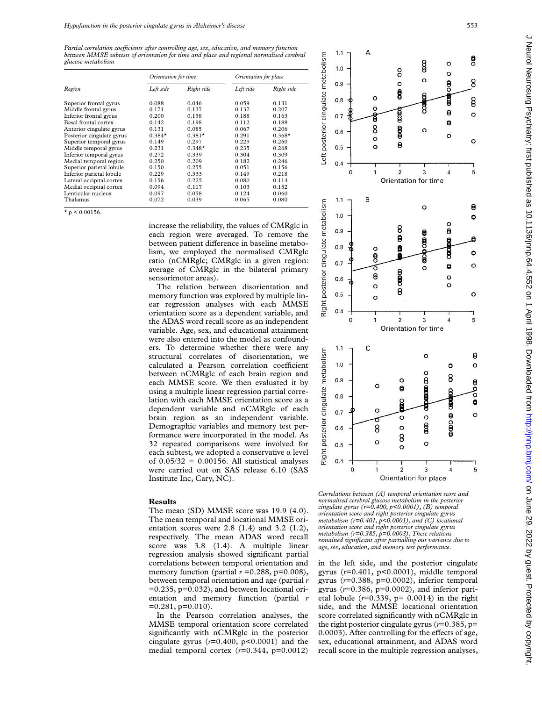*Partial correlation coefficients after controlling age, sex, education, and memory function between MMSE subtests of orientation for time and place and regional normalised cerebral glucose metabolism*

| Region                    | Orientation for time |            | Orientation for place |            |
|---------------------------|----------------------|------------|-----------------------|------------|
|                           | Left side            | Right side | Left side             | Right side |
| Superior frontal gyrus    | 0.088                | 0.046      | 0.059                 | 0.131      |
| Middle frontal gyrus      | 0.171                | 0.137      | 0.137                 | 0.207      |
| Inferior frontal gyrus    | 0.200                | 0.158      | 0.188                 | 0.163      |
| Basal frontal cortex      | 0.142                | 0.198      | 0.112                 | 0.188      |
| Anterior cingulate gyrus  | 0.131                | 0.085      | 0.067                 | 0.206      |
| Posterior cingulate gyrus | $0.384*$             | $0.381*$   | 0.291                 | $0.368*$   |
| Superior temporal gyrus   | 0.149                | 0.297      | 0.229                 | 0.260      |
| Middle temporal gyrus     | 0.231                | $0.348*$   | 0.235                 | 0.268      |
| Inferior temporal gyrus   | 0.272                | 0.339      | 0.304                 | 0.309      |
| Medial temporal region    | 0.250                | 0.209      | 0.182                 | 0.246      |
| Superior parietal lobule  | 0.150                | 0.255      | 0.051                 | 0.156      |
| Inferior parietal lobule  | 0.229                | 0.333      | 0.149                 | 0.218      |
| Lateral occipital cortex  | 0.156                | 0.225      | 0.080                 | 0.114      |
| Medial occipital cortex   | 0.094                | 0.117      | 0.103                 | 0.152      |
| Lenticular nucleus        | 0.097                | 0.058      | 0.124                 | 0.060      |
| Thalamus                  | 0.072                | 0.039      | 0.065                 | 0.080      |

 $*$  p < 0.00156.

increase the reliability, the values of CMRglc in each region were averaged. To remove the between patient difference in baseline metabolism, we employed the normalised CMRglc ratio (nCMRglc; CMRglc in a given region: average of CMRglc in the bilateral primary sensorimotor areas).

The relation between disorientation and memory function was explored by multiple linear regression analyses with each MMSE orientation score as a dependent variable, and the ADAS word recall score as an independent variable. Age, sex, and educational attainment were also entered into the model as confounders. To determine whether there were any structural correlates of disorientation, we calculated a Pearson correlation coefficient between nCMRglc of each brain region and each MMSE score. We then evaluated it by using a multiple linear regression partial correlation with each MMSE orientation score as a dependent variable and nCMRglc of each brain region as an independent variable. Demographic variables and memory test performance were incorporated in the model. As 32 repeated comparisons were involved for each subtest, we adopted a conservative  $\alpha$  level of  $0.05/32 = 0.00156$ . All statistical analyses were carried out on SAS release 6.10 (SAS Institute Inc, Cary, NC).

### **Results**

The mean (SD) MMSE score was 19.9 (4.0). The mean temporal and locational MMSE orientation scores were 2.8 (1.4) and 3.2 (1.2), respectively. The mean ADAS word recall score was 3.8 (1.4). A multiple linear regression analysis showed significant partial correlations between temporal orientation and memory function (partial  $r = 0.288$ ,  $p = 0.008$ ), between temporal orientation and age (partial *r* =0.235, p=0.032), and between locational orientation and memory function (partial *r*  $=0.281$ , p $=0.010$ ).

In the Pearson correlation analyses, the MMSE temporal orientation score correlated significantly with nCMRglc in the posterior cingulate gyrus (*r*=0.400, p<0.0001) and the medial temporal cortex (*r*=0.344, p=0.0012)



*Correlations between (A) temporal orientation score and normalised cerebral glucose metabolism in the posterior cingulate gyrus (r=0.400, p<0.0001), (B) temporal orientation score and right posterior cingulate gyrus metabolism (r=0.401, p<0.0001), and (C) locational orientation score and right posterior cingulate gyrus metabolism (r=0.385, p=0.0003). These relations remained significant after partialling out variance due to age, sex, education, and memory test performance.*

in the left side, and the posterior cingulate gyrus (*r*=0.401, p<0.0001), middle temporal gyrus (*r*=0.388, p=0.0002), inferior temporal gyrus (*r*=0.386, p=0.0002), and inferior parietal lobule  $(r=0.339, p= 0.0014)$  in the right side, and the MMSE locational orientation score correlated significantly with nCMRglc in the right posterior cingulate gyrus (*r*=0.385, p= 0.0003). After controlling for the effects of age, sex, educational attainment, and ADAS word recall score in the multiple regression analyses,